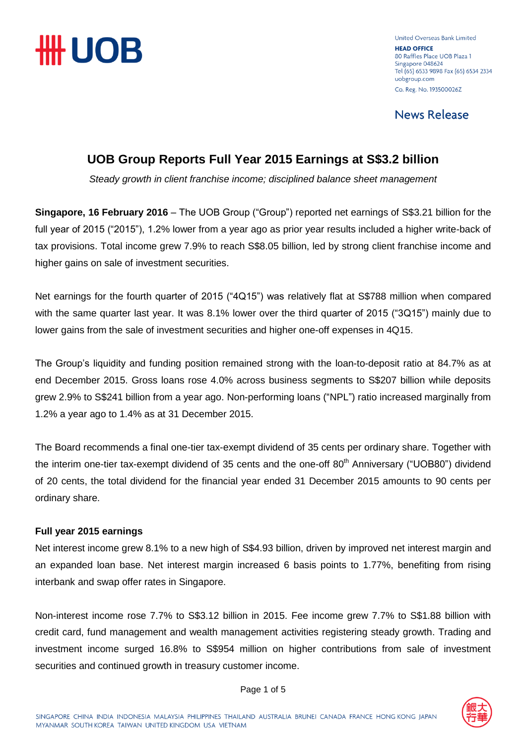

United Overseas Bank Limited **HEAD OFFICE** 80 Raffles Place UOB Plaza 1 Singapore 048624 Tel (65) 6533 9898 Fax (65) 6534 2334 uobgroup.com Co. Reg. No. 193500026Z

**News Release** 

### **UOB Group Reports Full Year 2015 Earnings at S\$3.2 billion**

*Steady growth in client franchise income; disciplined balance sheet management* 

**Singapore, 16 February 2016** – The UOB Group ("Group") reported net earnings of S\$3.21 billion for the full year of 2015 ("2015"), 1.2% lower from a year ago as prior year results included a higher write-back of tax provisions. Total income grew 7.9% to reach S\$8.05 billion, led by strong client franchise income and higher gains on sale of investment securities.

Net earnings for the fourth quarter of 2015 ("4Q15") was relatively flat at S\$788 million when compared with the same quarter last year. It was 8.1% lower over the third quarter of 2015 ("3Q15") mainly due to lower gains from the sale of investment securities and higher one-off expenses in 4Q15.

The Group's liquidity and funding position remained strong with the loan-to-deposit ratio at 84.7% as at end December 2015. Gross loans rose 4.0% across business segments to S\$207 billion while deposits grew 2.9% to S\$241 billion from a year ago. Non-performing loans ("NPL") ratio increased marginally from 1.2% a year ago to 1.4% as at 31 December 2015.

The Board recommends a final one-tier tax-exempt dividend of 35 cents per ordinary share. Together with the interim one-tier tax-exempt dividend of 35 cents and the one-off  $80<sup>th</sup>$  Anniversary ("UOB80") dividend of 20 cents, the total dividend for the financial year ended 31 December 2015 amounts to 90 cents per ordinary share.

#### **Full year 2015 earnings**

Net interest income grew 8.1% to a new high of S\$4.93 billion, driven by improved net interest margin and an expanded loan base. Net interest margin increased 6 basis points to 1.77%, benefiting from rising interbank and swap offer rates in Singapore.

Non-interest income rose 7.7% to S\$3.12 billion in 2015. Fee income grew 7.7% to S\$1.88 billion with credit card, fund management and wealth management activities registering steady growth. Trading and investment income surged 16.8% to S\$954 million on higher contributions from sale of investment securities and continued growth in treasury customer income.



Page 1 of 5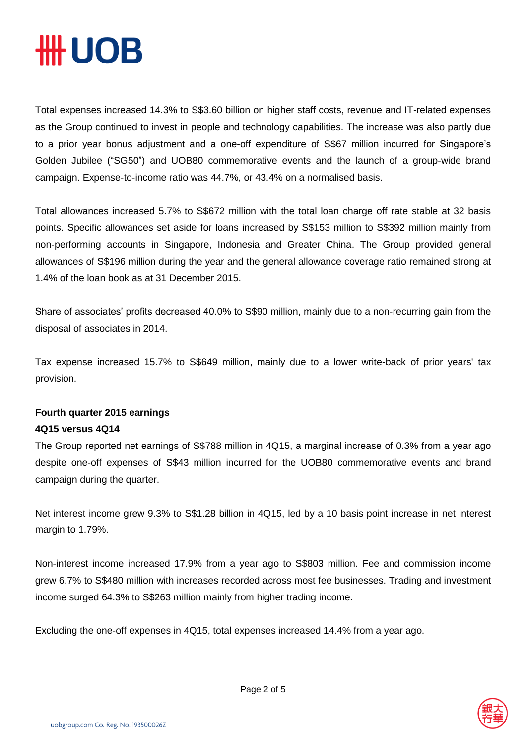## ₩ UOB

Total expenses increased 14.3% to S\$3.60 billion on higher staff costs, revenue and IT-related expenses as the Group continued to invest in people and technology capabilities. The increase was also partly due to a prior year bonus adjustment and a one-off expenditure of S\$67 million incurred for Singapore's Golden Jubilee ("SG50") and UOB80 commemorative events and the launch of a group-wide brand campaign. Expense-to-income ratio was 44.7%, or 43.4% on a normalised basis.

Total allowances increased 5.7% to S\$672 million with the total loan charge off rate stable at 32 basis points. Specific allowances set aside for loans increased by S\$153 million to S\$392 million mainly from non-performing accounts in Singapore, Indonesia and Greater China. The Group provided general allowances of S\$196 million during the year and the general allowance coverage ratio remained strong at 1.4% of the loan book as at 31 December 2015.

Share of associates' profits decreased 40.0% to S\$90 million, mainly due to a non-recurring gain from the disposal of associates in 2014.

Tax expense increased 15.7% to S\$649 million, mainly due to a lower write-back of prior years' tax provision.

### **Fourth quarter 2015 earnings 4Q15 versus 4Q14**

The Group reported net earnings of S\$788 million in 4Q15, a marginal increase of 0.3% from a year ago despite one-off expenses of S\$43 million incurred for the UOB80 commemorative events and brand campaign during the quarter.

Net interest income grew 9.3% to S\$1.28 billion in 4Q15, led by a 10 basis point increase in net interest margin to 1.79%.

Non-interest income increased 17.9% from a year ago to S\$803 million. Fee and commission income grew 6.7% to S\$480 million with increases recorded across most fee businesses. Trading and investment income surged 64.3% to S\$263 million mainly from higher trading income.

Excluding the one-off expenses in 4Q15, total expenses increased 14.4% from a year ago.

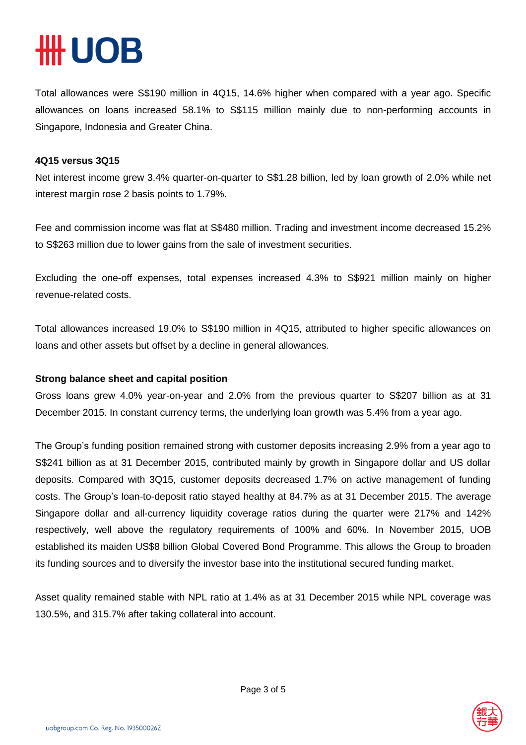# **HUOB**

Total allowances were S\$190 million in 4Q15, 14.6% higher when compared with a year ago. Specific allowances on loans increased 58.1% to S\$115 million mainly due to non-performing accounts in Singapore, Indonesia and Greater China.

#### **4Q15 versus 3Q15**

Net interest income grew 3.4% quarter-on-quarter to S\$1.28 billion, led by loan growth of 2.0% while net interest margin rose 2 basis points to 1.79%.

Fee and commission income was flat at S\$480 million. Trading and investment income decreased 15.2% to S\$263 million due to lower gains from the sale of investment securities.

Excluding the one-off expenses, total expenses increased 4.3% to S\$921 million mainly on higher revenue-related costs.

Total allowances increased 19.0% to S\$190 million in 4Q15, attributed to higher specific allowances on loans and other assets but offset by a decline in general allowances.

#### **Strong balance sheet and capital position**

Gross loans grew 4.0% year-on-year and 2.0% from the previous quarter to S\$207 billion as at 31 December 2015. In constant currency terms, the underlying loan growth was 5.4% from a year ago.

The Group's funding position remained strong with customer deposits increasing 2.9% from a year ago to S\$241 billion as at 31 December 2015, contributed mainly by growth in Singapore dollar and US dollar deposits. Compared with 3Q15, customer deposits decreased 1.7% on active management of funding costs. The Group's loan-to-deposit ratio stayed healthy at 84.7% as at 31 December 2015. The average Singapore dollar and all-currency liquidity coverage ratios during the quarter were 217% and 142% respectively, well above the regulatory requirements of 100% and 60%. In November 2015, UOB established its maiden US\$8 billion Global Covered Bond Programme. This allows the Group to broaden its funding sources and to diversify the investor base into the institutional secured funding market.

Asset quality remained stable with NPL ratio at 1.4% as at 31 December 2015 while NPL coverage was 130.5%, and 315.7% after taking collateral into account.

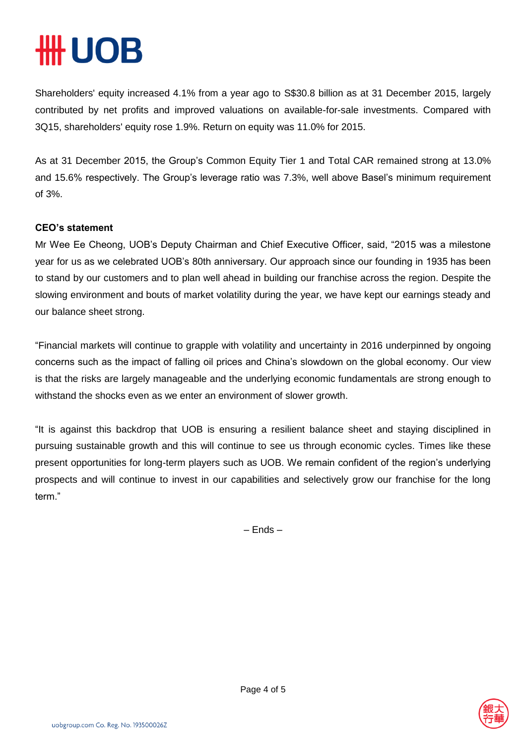# **#UOB**

Shareholders' equity increased 4.1% from a year ago to S\$30.8 billion as at 31 December 2015, largely contributed by net profits and improved valuations on available-for-sale investments. Compared with 3Q15, shareholders' equity rose 1.9%. Return on equity was 11.0% for 2015.

As at 31 December 2015, the Group's Common Equity Tier 1 and Total CAR remained strong at 13.0% and 15.6% respectively. The Group's leverage ratio was 7.3%, well above Basel's minimum requirement of 3%.

### **CEO's statement**

Mr Wee Ee Cheong, UOB's Deputy Chairman and Chief Executive Officer, said, "2015 was a milestone year for us as we celebrated UOB's 80th anniversary. Our approach since our founding in 1935 has been to stand by our customers and to plan well ahead in building our franchise across the region. Despite the slowing environment and bouts of market volatility during the year, we have kept our earnings steady and our balance sheet strong.

"Financial markets will continue to grapple with volatility and uncertainty in 2016 underpinned by ongoing concerns such as the impact of falling oil prices and China's slowdown on the global economy. Our view is that the risks are largely manageable and the underlying economic fundamentals are strong enough to withstand the shocks even as we enter an environment of slower growth.

"It is against this backdrop that UOB is ensuring a resilient balance sheet and staying disciplined in pursuing sustainable growth and this will continue to see us through economic cycles. Times like these present opportunities for long-term players such as UOB. We remain confident of the region's underlying prospects and will continue to invest in our capabilities and selectively grow our franchise for the long term."

– Ends –